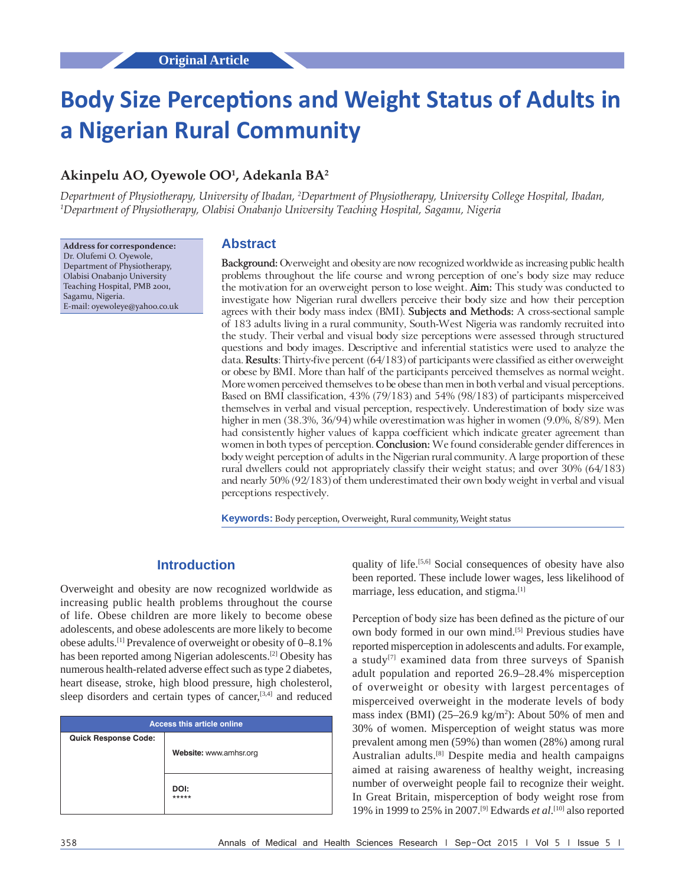# **Body Size Perceptions and Weight Status of Adults in a Nigerian Rural Community**

# **Akinpelu AO, Oyewole OO1 , Adekanla BA2**

*Department of Physiotherapy, University of Ibadan, 2 Department of Physiotherapy, University College Hospital, Ibadan, 1 Department of Physiotherapy, Olabisi Onabanjo University Teaching Hospital, Sagamu, Nigeria*

**Address for correspondence:** Dr. Olufemi O. Oyewole, Department of Physiotherapy, Olabisi Onabanjo University Teaching Hospital, PMB 2001, Sagamu, Nigeria. E‑mail: oyewoleye@yahoo.co.uk

#### **Abstract**

**Background:** Overweight and obesity are now recognized worldwide as increasing public health problems throughout the life course and wrong perception of one's body size may reduce the motivation for an overweight person to lose weight. **Aim:** This study was conducted to investigate how Nigerian rural dwellers perceive their body size and how their perception agrees with their body mass index (BMI). **Subjects and Methods:** A cross‑sectional sample of 183 adults living in a rural community, South‑West Nigeria was randomly recruited into the study. Their verbal and visual body size perceptions were assessed through structured questions and body images. Descriptive and inferential statistics were used to analyze the data. **Results**: Thirty‑five percent (64/183) of participants were classified as either overweight or obese by BMI. More than half of the participants perceived themselves as normal weight. More women perceived themselves to be obese than men in both verbal and visual perceptions. Based on BMI classification, 43% (79/183) and 54% (98/183) of participants misperceived themselves in verbal and visual perception, respectively. Underestimation of body size was higher in men (38.3%, 36/94) while overestimation was higher in women (9.0%, 8/89). Men had consistently higher values of kappa coefficient which indicate greater agreement than women in both types of perception. **Conclusion:** We found considerable gender differences in body weight perception of adults in the Nigerian rural community. A large proportion of these rural dwellers could not appropriately classify their weight status; and over 30% (64/183) and nearly 50% (92/183) of them underestimated their own body weight in verbal and visual perceptions respectively.

**Keywords:** Body perception, Overweight, Rural community, Weight status

# **Introduction**

Overweight and obesity are now recognized worldwide as increasing public health problems throughout the course of life. Obese children are more likely to become obese adolescents, and obese adolescents are more likely to become obese adults.[1] Prevalence of overweight or obesity of 0–8.1% has been reported among Nigerian adolescents.<sup>[2]</sup> Obesity has numerous health-related adverse effect such as type 2 diabetes, heart disease, stroke, high blood pressure, high cholesterol, sleep disorders and certain types of cancer,<sup>[3,4]</sup> and reduced

| <b>Access this article online</b> |  |  |  |  |  |  |  |
|-----------------------------------|--|--|--|--|--|--|--|
|                                   |  |  |  |  |  |  |  |
| Website: www.amhsr.org            |  |  |  |  |  |  |  |
|                                   |  |  |  |  |  |  |  |
| DOI:                              |  |  |  |  |  |  |  |
| *****                             |  |  |  |  |  |  |  |
|                                   |  |  |  |  |  |  |  |

quality of life.<sup>[5,6]</sup> Social consequences of obesity have also been reported. These include lower wages, less likelihood of marriage, less education, and stigma.[1]

Perception of body size has been defined as the picture of our own body formed in our own mind.[5] Previous studies have reported misperception in adolescents and adults. For example, a study<sup>[7]</sup> examined data from three surveys of Spanish adult population and reported 26.9–28.4% misperception of overweight or obesity with largest percentages of misperceived overweight in the moderate levels of body mass index (BMI) (25–26.9 kg/m<sup>2</sup>): About 50% of men and 30% of women. Misperception of weight status was more prevalent among men (59%) than women (28%) among rural Australian adults.[8] Despite media and health campaigns aimed at raising awareness of healthy weight, increasing number of overweight people fail to recognize their weight. In Great Britain, misperception of body weight rose from 19% in 1999 to 25% in 2007.[9] Edwards *et al*. [10] also reported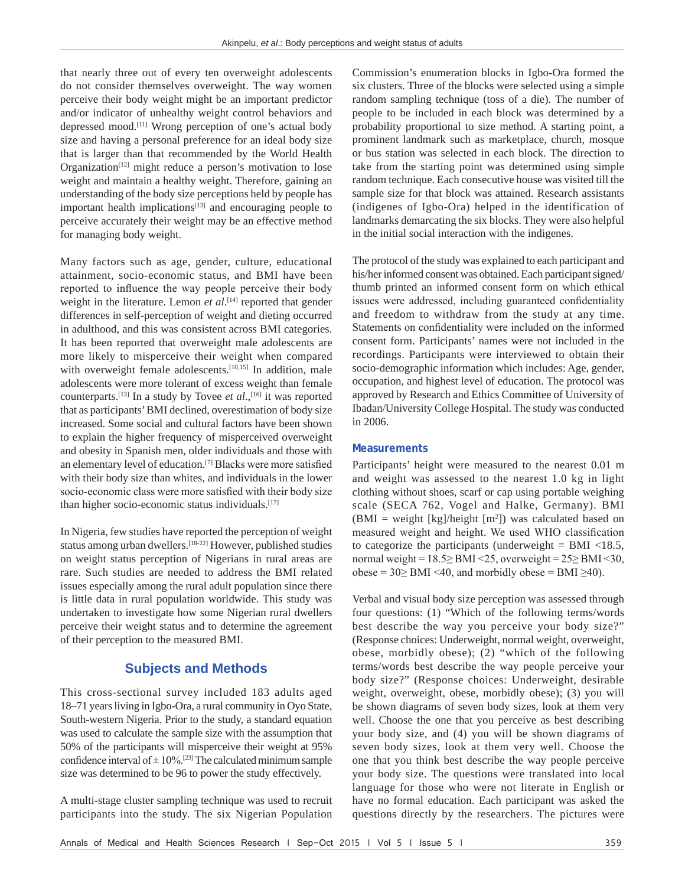that nearly three out of every ten overweight adolescents do not consider themselves overweight. The way women perceive their body weight might be an important predictor and/or indicator of unhealthy weight control behaviors and depressed mood.[11] Wrong perception of one's actual body size and having a personal preference for an ideal body size that is larger than that recommended by the World Health Organization<sup>[12]</sup> might reduce a person's motivation to lose weight and maintain a healthy weight. Therefore, gaining an understanding of the body size perceptions held by people has important health implications<sup>[13]</sup> and encouraging people to perceive accurately their weight may be an effective method for managing body weight.

Many factors such as age, gender, culture, educational attainment, socio-economic status, and BMI have been reported to influence the way people perceive their body weight in the literature. Lemon *et al*. [14] reported that gender differences in self-perception of weight and dieting occurred in adulthood, and this was consistent across BMI categories. It has been reported that overweight male adolescents are more likely to misperceive their weight when compared with overweight female adolescents.<sup>[10,15]</sup> In addition, male adolescents were more tolerant of excess weight than female counterparts.<sup>[13]</sup> In a study by Tovee *et al.*,<sup>[16]</sup> it was reported that as participants' BMI declined, overestimation of body size increased. Some social and cultural factors have been shown to explain the higher frequency of misperceived overweight and obesity in Spanish men, older individuals and those with an elementary level of education.[7] Blacks were more satisfied with their body size than whites, and individuals in the lower socio-economic class were more satisfied with their body size than higher socio-economic status individuals.<sup>[17]</sup>

In Nigeria, few studies have reported the perception of weight status among urban dwellers.[18-22] However, published studies on weight status perception of Nigerians in rural areas are rare. Such studies are needed to address the BMI related issues especially among the rural adult population since there is little data in rural population worldwide. This study was undertaken to investigate how some Nigerian rural dwellers perceive their weight status and to determine the agreement of their perception to the measured BMI.

# **Subjects and Methods**

This cross-sectional survey included 183 adults aged 18–71 years living in Igbo-Ora, a rural community in Oyo State, South-western Nigeria. Prior to the study, a standard equation was used to calculate the sample size with the assumption that 50% of the participants will misperceive their weight at 95% confidence interval of  $\pm 10\%$ .<sup>[23]</sup> The calculated minimum sample size was determined to be 96 to power the study effectively.

A multi-stage cluster sampling technique was used to recruit participants into the study. The six Nigerian Population Commission's enumeration blocks in Igbo-Ora formed the six clusters. Three of the blocks were selected using a simple random sampling technique (toss of a die). The number of people to be included in each block was determined by a probability proportional to size method. A starting point, a prominent landmark such as marketplace, church, mosque or bus station was selected in each block. The direction to take from the starting point was determined using simple random technique. Each consecutive house was visited till the sample size for that block was attained. Research assistants (indigenes of Igbo-Ora) helped in the identification of landmarks demarcating the six blocks. They were also helpful in the initial social interaction with the indigenes.

The protocol of the study was explained to each participant and his/her informed consent was obtained. Each participant signed/ thumb printed an informed consent form on which ethical issues were addressed, including guaranteed confidentiality and freedom to withdraw from the study at any time. Statements on confidentiality were included on the informed consent form. Participants' names were not included in the recordings. Participants were interviewed to obtain their socio-demographic information which includes: Age, gender, occupation, and highest level of education. The protocol was approved by Research and Ethics Committee of University of Ibadan/University College Hospital. The study was conducted in 2006.

#### **Measurements**

Participants' height were measured to the nearest 0.01 m and weight was assessed to the nearest 1.0 kg in light clothing without shoes, scarf or cap using portable weighing scale (SECA 762, Vogel and Halke, Germany). BMI  $(BMI = weight [kg]/height [m<sup>2</sup>])$  was calculated based on measured weight and height. We used WHO classification to categorize the participants (underweight  $=$  BMI  $\langle$ 18.5, normal weight = 18.5≥ BMI <25, overweight = 25≥ BMI <30, obese =  $30\geq$  BMI <40, and morbidly obese = BMI  $\geq$ 40).

Verbal and visual body size perception was assessed through four questions: (1) "Which of the following terms/words best describe the way you perceive your body size?" (Response choices: Underweight, normal weight, overweight, obese, morbidly obese); (2) "which of the following terms/words best describe the way people perceive your body size?" (Response choices: Underweight, desirable weight, overweight, obese, morbidly obese); (3) you will be shown diagrams of seven body sizes, look at them very well. Choose the one that you perceive as best describing your body size, and (4) you will be shown diagrams of seven body sizes, look at them very well. Choose the one that you think best describe the way people perceive your body size. The questions were translated into local language for those who were not literate in English or have no formal education. Each participant was asked the questions directly by the researchers. The pictures were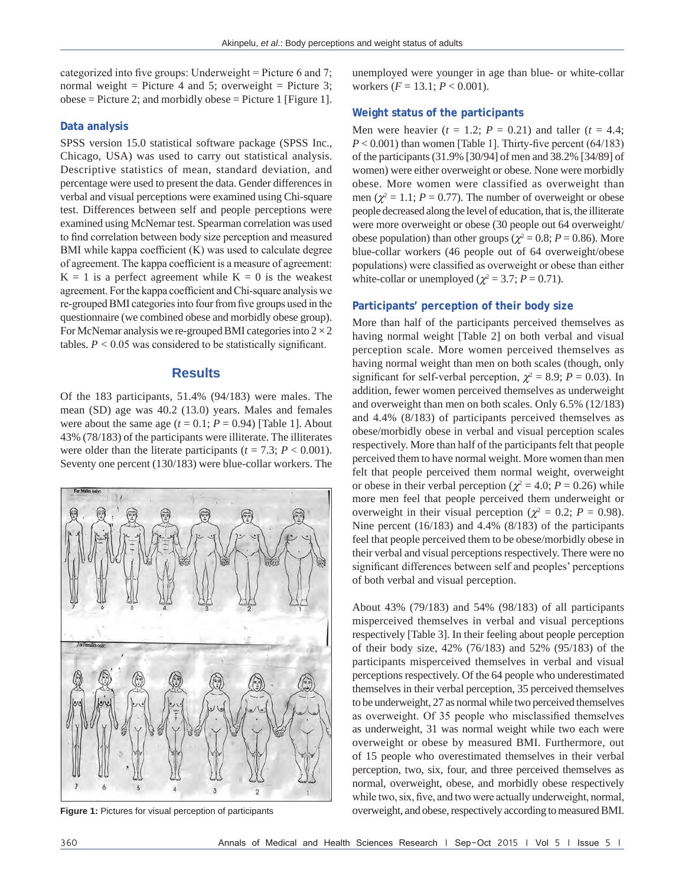categorized into five groups: Underweight = Picture 6 and 7; normal weight = Picture 4 and 5; overweight = Picture 3; obese = Picture 2; and morbidly obese = Picture 1 [Figure 1].

#### **Data analysis**

SPSS version 15.0 statistical software package (SPSS Inc., Chicago, USA) was used to carry out statistical analysis. Descriptive statistics of mean, standard deviation, and percentage were used to present the data. Gender differences in verbal and visual perceptions were examined using Chi-square test. Differences between self and people perceptions were examined using McNemar test. Spearman correlation was used to find correlation between body size perception and measured BMI while kappa coefficient (K) was used to calculate degree of agreement. The kappa coefficient is a measure of agreement:  $K = 1$  is a perfect agreement while  $K = 0$  is the weakest agreement. For the kappa coefficient and Chi–square analysis we re-grouped BMI categories into four from five groups used in the questionnaire (we combined obese and morbidly obese group). For McNemar analysis we re-grouped BMI categories into  $2 \times 2$ tables.  $P < 0.05$  was considered to be statistically significant.

#### **Results**

Of the 183 participants, 51.4% (94/183) were males. The mean (SD) age was 40.2 (13.0) years. Males and females were about the same age  $(t = 0.1; P = 0.94)$  [Table 1]. About 43% (78/183) of the participants were illiterate. The illiterates were older than the literate participants ( $t = 7.3$ ;  $P < 0.001$ ). Seventy one percent (130/183) were blue-collar workers. The



unemployed were younger in age than blue- or white-collar workers (*F* = 13.1; *P* < 0.001).

#### **Weight status of the participants**

Men were heavier  $(t = 1.2; P = 0.21)$  and taller  $(t = 4.4;$  $P < 0.001$ ) than women [Table 1]. Thirty-five percent  $(64/183)$ of the participants(31.9% [30/94] of men and 38.2% [34/89] of women) were either overweight or obese. None were morbidly obese. More women were classified as overweight than men ( $\chi^2 = 1.1$ ;  $P = 0.77$ ). The number of overweight or obese people decreased along the level of education, that is, the illiterate were more overweight or obese (30 people out 64 overweight/ obese population) than other groups ( $\chi^2 = 0.8$ ;  $P = 0.86$ ). More blue-collar workers (46 people out of 64 overweight/obese populations) were classified as overweight or obese than either white-collar or unemployed ( $\chi^2 = 3.7$ ;  $P = 0.71$ ).

#### **Participants' perception of their body size**

More than half of the participants perceived themselves as having normal weight [Table 2] on both verbal and visual perception scale. More women perceived themselves as having normal weight than men on both scales (though, only significant for self-verbal perception,  $\chi^2 = 8.9$ ;  $P = 0.03$ ). In addition, fewer women perceived themselves as underweight and overweight than men on both scales. Only 6.5% (12/183) and 4.4% (8/183) of participants perceived themselves as obese/morbidly obese in verbal and visual perception scales respectively. More than half of the participants felt that people perceived them to have normal weight. More women than men felt that people perceived them normal weight, overweight or obese in their verbal perception ( $\chi^2 = 4.0$ ;  $P = 0.26$ ) while more men feel that people perceived them underweight or overweight in their visual perception ( $\chi^2 = 0.2$ ;  $P = 0.98$ ). Nine percent (16/183) and 4.4% (8/183) of the participants feel that people perceived them to be obese/morbidly obese in their verbal and visual perceptions respectively. There were no significant differences between self and peoples' perceptions of both verbal and visual perception.

About 43% (79/183) and 54% (98/183) of all participants misperceived themselves in verbal and visual perceptions respectively [Table 3]. In their feeling about people perception of their body size, 42% (76/183) and 52% (95/183) of the participants misperceived themselves in verbal and visual perceptions respectively. Of the 64 people who underestimated themselves in their verbal perception, 35 perceived themselves to be underweight, 27 as normal while two perceived themselves as overweight. Of 35 people who misclassified themselves as underweight, 31 was normal weight while two each were overweight or obese by measured BMI. Furthermore, out of 15 people who overestimated themselves in their verbal perception, two, six, four, and three perceived themselves as normal, overweight, obese, and morbidly obese respectively while two, six, five, and two were actually underweight, normal, **Figure 1:** Pictures for visual perception of participants overweight, and obese, respectively according to measured BMI.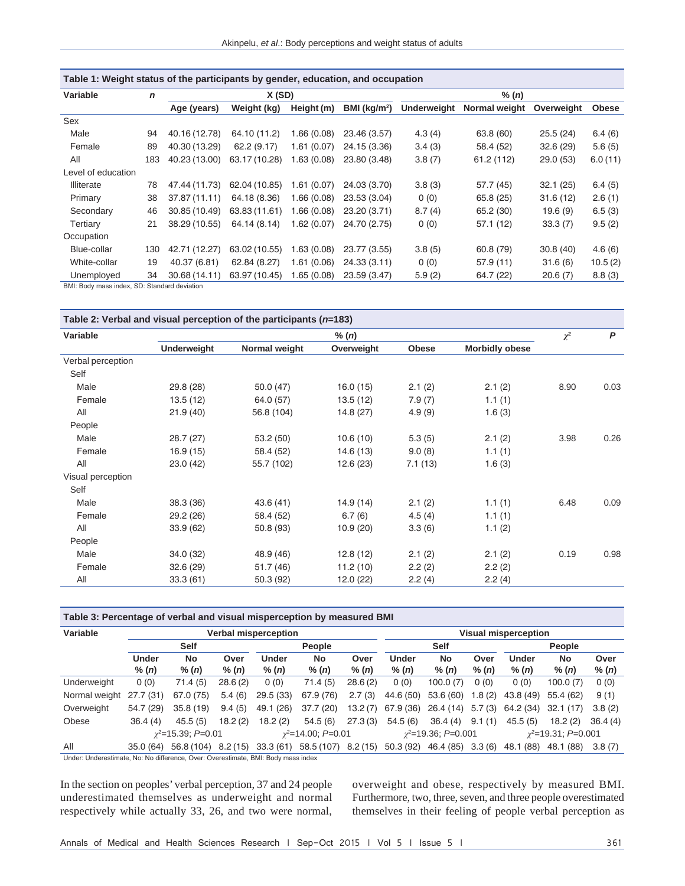| Table 1: Weight status of the participants by gender, education, and occupation |             |               |               |                |                          |                    |               |            |              |  |  |  |
|---------------------------------------------------------------------------------|-------------|---------------|---------------|----------------|--------------------------|--------------------|---------------|------------|--------------|--|--|--|
| Variable                                                                        | $\mathbf n$ |               | X(SD)         |                |                          | % (n)              |               |            |              |  |  |  |
|                                                                                 |             | Age (years)   | Weight (kg)   | Height (m)     | BMI (kg/m <sup>2</sup> ) | <b>Underweight</b> | Normal weight | Overweight | <b>Obese</b> |  |  |  |
| Sex                                                                             |             |               |               |                |                          |                    |               |            |              |  |  |  |
| Male                                                                            | 94          | 40.16 (12.78) | 64.10 (11.2)  | 1.66(0.08)     | 23.46 (3.57)             | 4.3(4)             | 63.8 (60)     | 25.5(24)   | 6.4(6)       |  |  |  |
| Female                                                                          | 89          | 40.30 (13.29) | 62.2(9.17)    | 1.61(0.07)     | 24.15 (3.36)             | 3.4(3)             | 58.4 (52)     | 32.6(29)   | 5.6(5)       |  |  |  |
| All                                                                             | 183         | 40.23 (13.00) | 63.17 (10.28) | 1.63(0.08)     | 23.80 (3.48)             | 3.8(7)             | 61.2 (112)    | 29.0(53)   | 6.0(11)      |  |  |  |
| Level of education                                                              |             |               |               |                |                          |                    |               |            |              |  |  |  |
| Illiterate                                                                      | 78          | 47.44 (11.73) | 62.04 (10.85) | 1.61<br>(0.07) | 24.03 (3.70)             | 3.8(3)             | 57.7 (45)     | 32.1(25)   | 6.4(5)       |  |  |  |
| Primary                                                                         | 38          | 37.87 (11.11) | 64.18 (8.36)  | 1.66 (0.08)    | 23.53 (3.04)             | 0(0)               | 65.8 (25)     | 31.6(12)   | 2.6(1)       |  |  |  |
| Secondary                                                                       | 46          | 30.85 (10.49) | 63.83 (11.61) | 1.66(0.08)     | 23.20 (3.71)             | 8.7(4)             | 65.2 (30)     | 19.6(9)    | 6.5(3)       |  |  |  |
| Tertiary                                                                        | 21          | 38.29 (10.55) | 64.14 (8.14)  | 1.62(0.07)     | 24.70 (2.75)             | 0(0)               | 57.1(12)      | 33.3(7)    | 9.5(2)       |  |  |  |
| Occupation                                                                      |             |               |               |                |                          |                    |               |            |              |  |  |  |
| Blue-collar                                                                     | 130         | 42.71 (12.27) | 63.02 (10.55) | 1.63(0.08)     | 23.77 (3.55)             | 3.8(5)             | 60.8 (79)     | 30.8(40)   | 4.6(6)       |  |  |  |
| White-collar                                                                    | 19          | 40.37 (6.81)  | 62.84 (8.27)  | 1.61(0.06)     | 24.33(3.11)              | 0(0)               | 57.9(11)      | 31.6(6)    | 10.5(2)      |  |  |  |
| Unemployed                                                                      | 34          | 30.68 (14.11) | 63.97 (10.45) | 1.65(0.08)     | 23.59 (3.47)             | 5.9(2)             | 64.7 (22)     | 20.6(7)    | 8.8(3)       |  |  |  |
| BMI: Body mass index, SD: Standard deviation                                    |             |               |               |                |                          |                    |               |            |              |  |  |  |

| Table 2: Verbal and visual perception of the participants ( $n=183$ ) |                    |               |            |              |                       |      |      |  |  |  |  |
|-----------------------------------------------------------------------|--------------------|---------------|------------|--------------|-----------------------|------|------|--|--|--|--|
| Variable                                                              |                    | $\chi^2$      | P          |              |                       |      |      |  |  |  |  |
|                                                                       | <b>Underweight</b> | Normal weight | Overweight | <b>Obese</b> | <b>Morbidly obese</b> |      |      |  |  |  |  |
| Verbal perception                                                     |                    |               |            |              |                       |      |      |  |  |  |  |
| Self                                                                  |                    |               |            |              |                       |      |      |  |  |  |  |
| Male                                                                  | 29.8 (28)          | 50.0 (47)     | 16.0(15)   | 2.1(2)       | 2.1(2)                | 8.90 | 0.03 |  |  |  |  |
| Female                                                                | 13.5(12)           | 64.0 (57)     | 13.5(12)   | 7.9(7)       | 1.1(1)                |      |      |  |  |  |  |
| All                                                                   | 21.9(40)           | 56.8 (104)    | 14.8(27)   | 4.9(9)       | 1.6(3)                |      |      |  |  |  |  |
| People                                                                |                    |               |            |              |                       |      |      |  |  |  |  |
| Male                                                                  | 28.7(27)           | 53.2(50)      | 10.6(10)   | 5.3(5)       | 2.1(2)                | 3.98 | 0.26 |  |  |  |  |
| Female                                                                | 16.9(15)           | 58.4 (52)     | 14.6(13)   | 9.0(8)       | 1.1(1)                |      |      |  |  |  |  |
| All                                                                   | 23.0(42)           | 55.7 (102)    | 12.6(23)   | 7.1(13)      | 1.6(3)                |      |      |  |  |  |  |
| Visual perception                                                     |                    |               |            |              |                       |      |      |  |  |  |  |
| Self                                                                  |                    |               |            |              |                       |      |      |  |  |  |  |
| Male                                                                  | 38.3 (36)          | 43.6(41)      | 14.9(14)   | 2.1(2)       | 1.1(1)                | 6.48 | 0.09 |  |  |  |  |
| Female                                                                | 29.2(26)           | 58.4 (52)     | 6.7(6)     | 4.5(4)       | 1.1(1)                |      |      |  |  |  |  |
| All                                                                   | 33.9(62)           | 50.8 (93)     | 10.9(20)   | 3.3(6)       | 1.1(2)                |      |      |  |  |  |  |
| People                                                                |                    |               |            |              |                       |      |      |  |  |  |  |
| Male                                                                  | 34.0(32)           | 48.9 (46)     | 12.8(12)   | 2.1(2)       | 2.1(2)                | 0.19 | 0.98 |  |  |  |  |
| Female                                                                | 32.6(29)           | 51.7(46)      | 11.2(10)   | 2.2(2)       | 2.2(2)                |      |      |  |  |  |  |
| All                                                                   | 33.3(61)           | 50.3 (92)     | 12.0(22)   | 2.2(4)       | 2.2(4)                |      |      |  |  |  |  |

#### **Table 3: Percentage of verbal and visual misperception by measured BMI**

| Variable      | Verbal misperception |                           |         |           |                             |          | Visual misperception |                            |        |              |                          |         |
|---------------|----------------------|---------------------------|---------|-----------|-----------------------------|----------|----------------------|----------------------------|--------|--------------|--------------------------|---------|
|               | <b>Self</b>          |                           |         | People    |                             |          | <b>Self</b>          |                            |        | People       |                          |         |
|               | <b>Under</b>         | No                        | Over    | Under     | No                          | Over     | <b>Under</b>         | No                         | Over   | Under        | <b>No</b>                | Over    |
|               | % (n)                | % (n)                     | % (n)   | % (n)     | % (n)                       | % (n)    | % (n)                | % (n)                      | % (n)  | % (n)        | % $(n)$                  | % (n)   |
| Underweight   | 0(0)                 | 71.4(5)                   | 28.6(2) | 0(0)      | 71.4(5)                     | 28.6(2)  | 0(0)                 | 100.0(7)                   | 0(0)   | 0(0)         | 100.0 (7)                | 0(0)    |
| Normal weight | 27.7(31)             | 67.0 (75)                 | 5.4(6)  | 29.5(33)  | 67.9 (76)                   | 2.7(3)   | 44.6 (50)            | 53.6 (60)                  | .8(2)  | 43.8 (49)    | 55.4 (62)                | 9(1)    |
| Overweight    | 54.7 (29)            | 35.8(19)                  | 9.4(5)  | 49.1 (26) | 37.7(20)                    | 13.2 (7) | 67.9 (36)            | 26.4 (14)                  | 5.7(3) | 64.2 (34)    | 32.1<br>(17)             | 3.8(2)  |
| Obese         | 36.4(4)              | 45.5(5)                   | 18.2(2) | 18.2(2)   | 54.5(6)                     | 27.3(3)  | 54.5(6)              | 36.4(4)                    | 9.1(1) | 45.5(5)      | 18.2(2)                  | 36.4(4) |
|               |                      | $\gamma^2$ =15.39; P=0.01 |         |           | $\gamma^2 = 14.00$ ; P=0.01 |          |                      | $\gamma^2$ =19.36; P=0.001 |        |              | $\chi^2$ =19.31; P=0.001 |         |
| All           | 35.0(64)             | 56.8 (104)                | 8.2(15) | 33.3(61)  | 58.5 (107)                  | 8.2(15)  | 50.3(92)             | 46.4 (85)                  | 3.3(6) | (88)<br>48.1 | (88)<br>48.1             | 3.8(7)  |

Under: Underestimate, No: No difference, Over: Overestimate, BMI: Body mass index

In the section on peoples' verbal perception, 37 and 24 people underestimated themselves as underweight and normal respectively while actually 33, 26, and two were normal,

overweight and obese, respectively by measured BMI. Furthermore, two, three, seven, and three people overestimated themselves in their feeling of people verbal perception as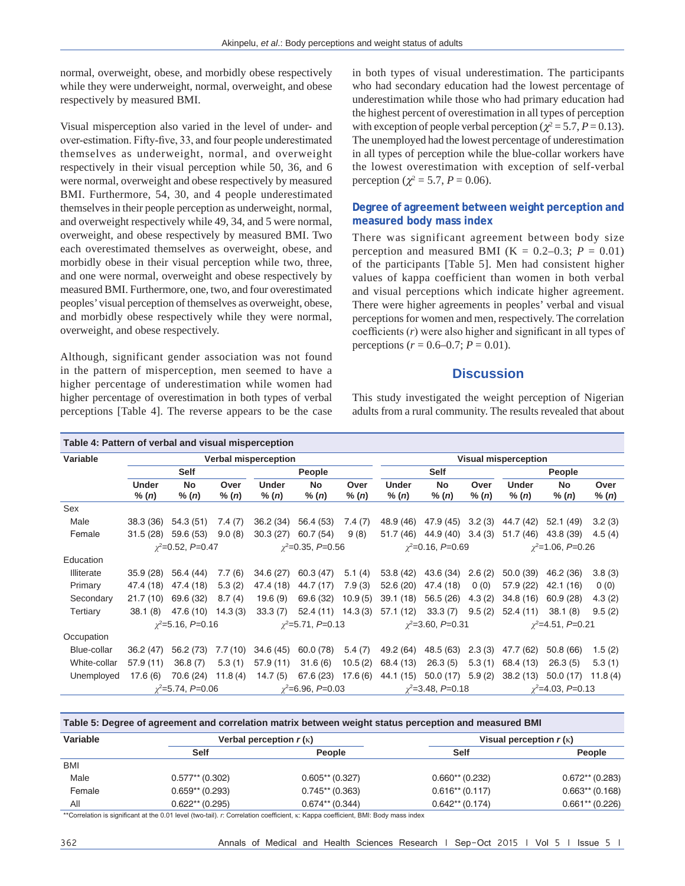normal, overweight, obese, and morbidly obese respectively while they were underweight, normal, overweight, and obese respectively by measured BMI.

Visual misperception also varied in the level of under- and over-estimation. Fifty-five, 33, and four people underestimated themselves as underweight, normal, and overweight respectively in their visual perception while 50, 36, and 6 were normal, overweight and obese respectively by measured BMI. Furthermore, 54, 30, and 4 people underestimated themselves in their people perception as underweight, normal, and overweight respectively while 49, 34, and 5 were normal, overweight, and obese respectively by measured BMI. Two each overestimated themselves as overweight, obese, and morbidly obese in their visual perception while two, three, and one were normal, overweight and obese respectively by measured BMI. Furthermore, one, two, and four overestimated peoples' visual perception of themselves as overweight, obese, and morbidly obese respectively while they were normal, overweight, and obese respectively.

Although, significant gender association was not found in the pattern of misperception, men seemed to have a higher percentage of underestimation while women had higher percentage of overestimation in both types of verbal perceptions [Table 4]. The reverse appears to be the case in both types of visual underestimation. The participants who had secondary education had the lowest percentage of underestimation while those who had primary education had the highest percent of overestimation in all types of perception with exception of people verbal perception ( $\chi^2 = 5.7$ ,  $P = 0.13$ ). The unemployed had the lowest percentage of underestimation in all types of perception while the blue-collar workers have the lowest overestimation with exception of self-verbal perception ( $\chi^2 = 5.7$ ,  $P = 0.06$ ).

# **Degree of agreement between weight perception and measured body mass index**

There was significant agreement between body size perception and measured BMI ( $K = 0.2{\text -}0.3$ ;  $P = 0.01$ ) of the participants [Table 5]. Men had consistent higher values of kappa coefficient than women in both verbal and visual perceptions which indicate higher agreement. There were higher agreements in peoples' verbal and visual perceptions for women and men, respectively. The correlation coefficients (*r*) were also higher and significant in all types of perceptions (*r* = 0.6–0.7; *P* = 0.01).

### **Discussion**

This study investigated the weight perception of Nigerian adults from a rural community. The results revealed that about

| Table 4: Pattern of verbal and visual misperception |                                |                            |               |                             |                           |                        |                       |                             |                            |                       |                        |               |  |
|-----------------------------------------------------|--------------------------------|----------------------------|---------------|-----------------------------|---------------------------|------------------------|-----------------------|-----------------------------|----------------------------|-----------------------|------------------------|---------------|--|
| Variable                                            | <b>Verbal misperception</b>    |                            |               |                             |                           |                        |                       | <b>Visual misperception</b> |                            |                       |                        |               |  |
|                                                     | <b>Self</b>                    |                            |               | People                      |                           |                        | <b>Self</b>           |                             |                            | People                |                        |               |  |
|                                                     | <b>Under</b><br>% (n)          | No<br>% (n)                | Over<br>% (n) | Under<br>% (n)              | <b>No</b><br>% (n)        | Over<br>% (n)          | <b>Under</b><br>% (n) | <b>No</b><br>% (n)          | Over<br>% (n)              | <b>Under</b><br>% (n) | <b>No</b><br>% (n)     | Over<br>% (n) |  |
| Sex                                                 |                                |                            |               |                             |                           |                        |                       |                             |                            |                       |                        |               |  |
| Male                                                | 38.3 (36)                      | 54.3 (51)                  | 7.4(7)        | 36.2(34)                    | 56.4 (53)                 | 7.4 (7)                | 48.9 (46)             | 47.9 (45)                   | 3.2(3)                     | 44.7 (42)             | 52.1 (49)              | 3.2(3)        |  |
| Female                                              | 31.5(28)                       | 59.6 (53)                  | 9.0(8)        | 30.3(27)                    | 60.7 (54)                 | 9(8)                   | 51.7 (46)             | 44.9 (40)                   | 3.4(3)                     | 51.7 (46)             | 43.8 (39)              | 4.5(4)        |  |
|                                                     | $y^2 = 0.52$ , $P = 0.47$      |                            |               | $\gamma^2 = 0.35, P = 0.56$ |                           | $\chi^2$ =0.16, P=0.69 |                       |                             | $\gamma^2 = 1.06$ , P=0.26 |                       |                        |               |  |
| Education                                           |                                |                            |               |                             |                           |                        |                       |                             |                            |                       |                        |               |  |
| Illiterate                                          | 35.9(28)                       | 56.4 (44)                  | 7.7(6)        | 34.6 (27)                   | 60.3 (47)                 | 5.1(4)                 | 53.8 (42)             | 43.6 (34)                   | 2.6(2)                     | 50.0(39)              | 46.2 (36)              | 3.8(3)        |  |
| Primary                                             | 47.4 (18)                      | 47.4 (18)                  | 5.3(2)        | 47.4 (18)                   | 44.7 (17)                 | 7.9(3)                 | 52.6 (20)             | 47.4 (18)                   | 0(0)                       | 57.9 (22)             | 42.1 (16)              | 0(0)          |  |
| Secondary                                           | 21.7(10)                       | 69.6 (32)                  | 8.7(4)        | 19.6(9)                     | 69.6 (32)                 | 10.9(5)                | 39.1(18)              | 56.5(26)                    | 4.3(2)                     | 34.8 (16)             | 60.9(28)               | 4.3(2)        |  |
| Tertiary                                            | 38.1(8)                        | 47.6 (10)                  | 14.3(3)       | 33.3(7)                     | 52.4(11)                  | 14.3(3)                | 57.1 (12)             | 33.3(7)                     | 9.5(2)                     | 52.4(11)              | 38.1(8)                | 9.5(2)        |  |
|                                                     |                                | $\gamma^2 = 5.16$ , P=0.16 |               |                             | $x^2 = 5.71$ , $P = 0.13$ |                        |                       | $\chi^2$ =3.60, P=0.31      |                            |                       | $\chi^2$ =4.51, P=0.21 |               |  |
| Occupation                                          |                                |                            |               |                             |                           |                        |                       |                             |                            |                       |                        |               |  |
| Blue-collar                                         | 36.2(47)                       | 56.2 (73)                  | 7.7(10)       | 34.6 (45)                   | 60.0 (78)                 | 5.4(7)                 | 49.2 (64)             | 48.5 (63)                   | 2.3(3)                     | 47.7 (62)             | 50.8(66)               | 1.5(2)        |  |
| White-collar                                        | 57.9(11)                       | 36.8(7)                    | 5.3(1)        | 57.9(11)                    | 31.6(6)                   | 10.5(2)                | 68.4 (13)             | 26.3(5)                     | 5.3(1)                     | 68.4 (13)             | 26.3(5)                | 5.3(1)        |  |
| Unemployed                                          | 17.6(6)                        | 70.6 (24)                  | 11.8(4)       | 14.7(5)                     | 67.6 (23)                 | 17.6(6)                | 44.1 (15)             | 50.0 (17)                   | 5.9(2)                     | 38.2(13)              | 50.0 (17)              | 11.8(4)       |  |
|                                                     | $\gamma^2 = 5.74$ , $P = 0.06$ |                            |               | $\chi^2$ =6.96, P=0.03      |                           | $\chi^2$ =3.48, P=0.18 |                       |                             | $\gamma^2 = 4.03$ , P=0.13 |                       |                        |               |  |

| Table 5: Degree of agreement and correlation matrix between weight status perception and measured BMI |                   |                               |                               |                   |  |  |  |  |  |
|-------------------------------------------------------------------------------------------------------|-------------------|-------------------------------|-------------------------------|-------------------|--|--|--|--|--|
| Variable                                                                                              |                   | Verbal perception $r(\kappa)$ | Visual perception $r(\kappa)$ |                   |  |  |  |  |  |
|                                                                                                       | <b>Self</b>       | People                        | <b>Self</b>                   | <b>People</b>     |  |  |  |  |  |
| <b>BMI</b>                                                                                            |                   |                               |                               |                   |  |  |  |  |  |
| Male                                                                                                  | $0.577**$ (0.302) | $0.605**$ (0.327)             | $0.660**$ (0.232)             | $0.672**$ (0.283) |  |  |  |  |  |
| Female                                                                                                | $0.659**$ (0.293) | $0.745**$ (0.363)             | $0.616**$ (0.117)             | $0.663**$ (0.168) |  |  |  |  |  |
| All                                                                                                   | $0.622**$ (0.295) | $0.674**$ (0.344)             | $0.642**$ (0.174)             | $0.661**$ (0.226) |  |  |  |  |  |

\*\*Correlation is significant at the 0.01 level (two-tail). *r*: Correlation coefficient, κ: Kappa coefficient, BMI: Body mass index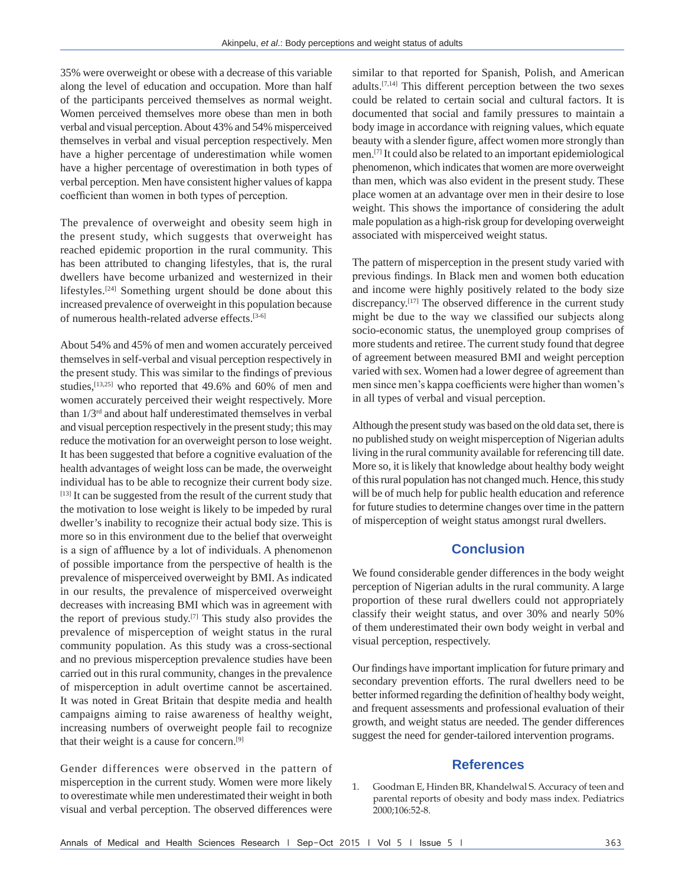35% were overweight or obese with a decrease of this variable along the level of education and occupation. More than half of the participants perceived themselves as normal weight. Women perceived themselves more obese than men in both verbal and visual perception. About 43% and 54% misperceived themselves in verbal and visual perception respectively. Men have a higher percentage of underestimation while women have a higher percentage of overestimation in both types of verbal perception. Men have consistent higher values of kappa coefficient than women in both types of perception.

The prevalence of overweight and obesity seem high in the present study, which suggests that overweight has reached epidemic proportion in the rural community. This has been attributed to changing lifestyles, that is, the rural dwellers have become urbanized and westernized in their lifestyles.[24] Something urgent should be done about this increased prevalence of overweight in this population because of numerous health-related adverse effects.[3-6]

About 54% and 45% of men and women accurately perceived themselves in self-verbal and visual perception respectively in the present study. This was similar to the findings of previous studies,[13,25] who reported that 49.6% and 60% of men and women accurately perceived their weight respectively. More than 1/3rd and about half underestimated themselves in verbal and visual perception respectively in the present study; this may reduce the motivation for an overweight person to lose weight. It has been suggested that before a cognitive evaluation of the health advantages of weight loss can be made, the overweight individual has to be able to recognize their current body size. [13] It can be suggested from the result of the current study that the motivation to lose weight is likely to be impeded by rural dweller's inability to recognize their actual body size. This is more so in this environment due to the belief that overweight is a sign of affluence by a lot of individuals. A phenomenon of possible importance from the perspective of health is the prevalence of misperceived overweight by BMI. As indicated in our results, the prevalence of misperceived overweight decreases with increasing BMI which was in agreement with the report of previous study.[7] This study also provides the prevalence of misperception of weight status in the rural community population. As this study was a cross-sectional and no previous misperception prevalence studies have been carried out in this rural community, changes in the prevalence of misperception in adult overtime cannot be ascertained. It was noted in Great Britain that despite media and health campaigns aiming to raise awareness of healthy weight, increasing numbers of overweight people fail to recognize that their weight is a cause for concern.[9]

Gender differences were observed in the pattern of misperception in the current study. Women were more likely to overestimate while men underestimated their weight in both visual and verbal perception. The observed differences were

similar to that reported for Spanish, Polish, and American adults.[7,14] This different perception between the two sexes could be related to certain social and cultural factors. It is documented that social and family pressures to maintain a body image in accordance with reigning values, which equate beauty with a slender figure, affect women more strongly than men.[7] It could also be related to an important epidemiological phenomenon, which indicates that women are more overweight than men, which was also evident in the present study. These place women at an advantage over men in their desire to lose weight. This shows the importance of considering the adult male population as a high-risk group for developing overweight associated with misperceived weight status.

The pattern of misperception in the present study varied with previous findings. In Black men and women both education and income were highly positively related to the body size discrepancy.<sup>[17]</sup> The observed difference in the current study might be due to the way we classified our subjects along socio-economic status, the unemployed group comprises of more students and retiree. The current study found that degree of agreement between measured BMI and weight perception varied with sex. Women had a lower degree of agreement than men since men's kappa coefficients were higher than women's in all types of verbal and visual perception.

Although the present study was based on the old data set, there is no published study on weight misperception of Nigerian adults living in the rural community available for referencing till date. More so, it is likely that knowledge about healthy body weight of this rural population has not changed much. Hence, this study will be of much help for public health education and reference for future studies to determine changes over time in the pattern of misperception of weight status amongst rural dwellers.

# **Conclusion**

We found considerable gender differences in the body weight perception of Nigerian adults in the rural community. A large proportion of these rural dwellers could not appropriately classify their weight status, and over 30% and nearly 50% of them underestimated their own body weight in verbal and visual perception, respectively.

Our findings have important implication for future primary and secondary prevention efforts. The rural dwellers need to be better informed regarding the definition of healthy body weight, and frequent assessments and professional evaluation of their growth, and weight status are needed. The gender differences suggest the need for gender-tailored intervention programs.

## **References**

1. Goodman E, Hinden BR, Khandelwal S. Accuracy of teen and parental reports of obesity and body mass index. Pediatrics 2000;106:52‑8.